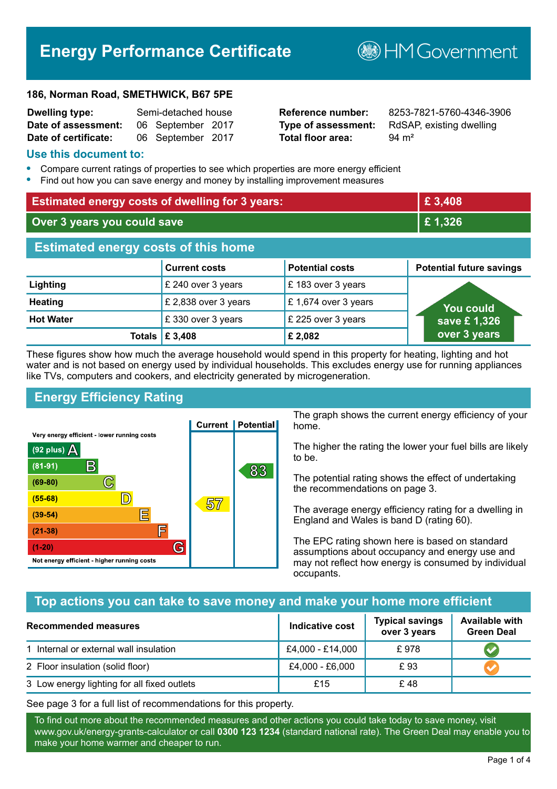# **Energy Performance Certificate**

#### **186, Norman Road, SMETHWICK, B67 5PE**

| <b>Dwelling type:</b> | Semi-detached house |                   |  |
|-----------------------|---------------------|-------------------|--|
| Date of assessment:   |                     | 06 September 2017 |  |
| Date of certificate:  |                     | 06 September 2017 |  |

# **Total floor area:** 94 m<sup>2</sup>

**Reference number:** 8253-7821-5760-4346-3906 **Type of assessment:** RdSAP, existing dwelling

**B**HM Government

#### **Use this document to:**

- **•** Compare current ratings of properties to see which properties are more energy efficient
- **•** Find out how you can save energy and money by installing improvement measures

| <b>Estimated energy costs of dwelling for 3 years:</b> |                                         | £ 3,408                |                                 |
|--------------------------------------------------------|-----------------------------------------|------------------------|---------------------------------|
| Over 3 years you could save                            |                                         | £1,326                 |                                 |
| <b>Estimated energy costs of this home</b>             |                                         |                        |                                 |
|                                                        | <b>Current costs</b>                    | <b>Potential costs</b> | <b>Potential future savings</b> |
| Lighting                                               | £ 240 over 3 years                      | £183 over 3 years      |                                 |
| <b>Heating</b>                                         | £ 2,838 over 3 years                    | £ 1,674 over 3 years   | You could                       |
| <b>Hot Water</b>                                       | £330 over 3 years                       | £ 225 over 3 years     | save £1,326                     |
|                                                        | Totals $\mathbf \mathbf \epsilon$ 3,408 | £ 2,082                | over 3 years                    |

These figures show how much the average household would spend in this property for heating, lighting and hot water and is not based on energy used by individual households. This excludes energy use for running appliances like TVs, computers and cookers, and electricity generated by microgeneration.

# **Energy Efficiency Rating**



The graph shows the current energy efficiency of your home.

The higher the rating the lower your fuel bills are likely to be.

The potential rating shows the effect of undertaking the recommendations on page 3.

The average energy efficiency rating for a dwelling in England and Wales is band D (rating 60).

The EPC rating shown here is based on standard assumptions about occupancy and energy use and may not reflect how energy is consumed by individual occupants.

## **Top actions you can take to save money and make your home more efficient**

| Recommended measures                        | Indicative cost  | <b>Typical savings</b><br>over 3 years | <b>Available with</b><br><b>Green Deal</b> |
|---------------------------------------------|------------------|----------------------------------------|--------------------------------------------|
| 1 Internal or external wall insulation      | £4,000 - £14,000 | £978                                   |                                            |
| 2 Floor insulation (solid floor)            | £4,000 - £6,000  | £93                                    |                                            |
| 3 Low energy lighting for all fixed outlets | £15              | £48                                    |                                            |

See page 3 for a full list of recommendations for this property.

To find out more about the recommended measures and other actions you could take today to save money, visit www.gov.uk/energy-grants-calculator or call **0300 123 1234** (standard national rate). The Green Deal may enable you to make your home warmer and cheaper to run.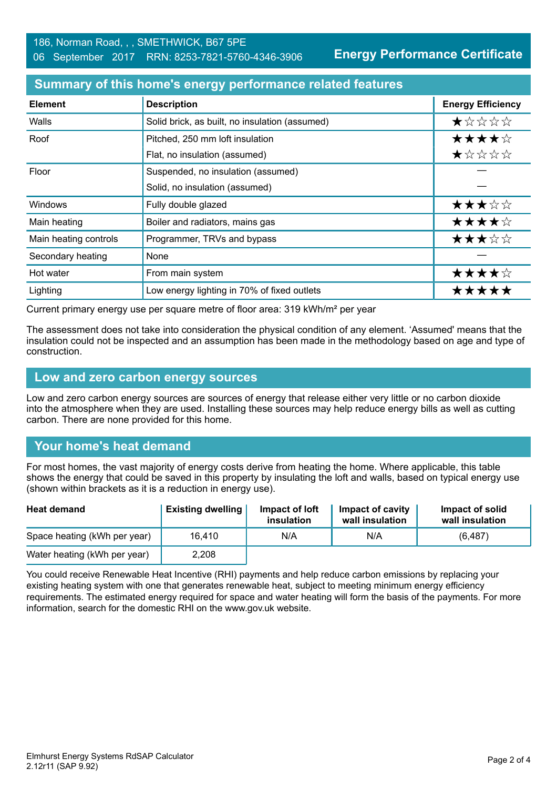**Energy Performance Certificate**

#### **Summary of this home's energy performance related features**

| <b>Element</b>        | <b>Description</b>                             | <b>Energy Efficiency</b> |
|-----------------------|------------------------------------------------|--------------------------|
| Walls                 | Solid brick, as built, no insulation (assumed) | ★☆☆☆☆                    |
| Roof                  | Pitched, 250 mm loft insulation                | ★★★★☆                    |
|                       | Flat, no insulation (assumed)                  | ★☆☆☆☆                    |
| Floor                 | Suspended, no insulation (assumed)             |                          |
|                       | Solid, no insulation (assumed)                 |                          |
| Windows               | Fully double glazed                            | ★★★☆☆                    |
| Main heating          | Boiler and radiators, mains gas                | ★★★★☆                    |
| Main heating controls | Programmer, TRVs and bypass                    | ★★★☆☆                    |
| Secondary heating     | None                                           |                          |
| Hot water             | From main system                               | ★★★★☆                    |
| Lighting              | Low energy lighting in 70% of fixed outlets    | *****                    |

Current primary energy use per square metre of floor area: 319 kWh/m² per year

The assessment does not take into consideration the physical condition of any element. 'Assumed' means that the insulation could not be inspected and an assumption has been made in the methodology based on age and type of construction.

#### **Low and zero carbon energy sources**

Low and zero carbon energy sources are sources of energy that release either very little or no carbon dioxide into the atmosphere when they are used. Installing these sources may help reduce energy bills as well as cutting carbon. There are none provided for this home.

# **Your home's heat demand**

For most homes, the vast majority of energy costs derive from heating the home. Where applicable, this table shows the energy that could be saved in this property by insulating the loft and walls, based on typical energy use (shown within brackets as it is a reduction in energy use).

| <b>Heat demand</b>           | <b>Existing dwelling</b> | Impact of loft<br>insulation | Impact of cavity<br>wall insulation | Impact of solid<br>wall insulation |
|------------------------------|--------------------------|------------------------------|-------------------------------------|------------------------------------|
| Space heating (kWh per year) | 16.410                   | N/A                          | N/A                                 | (6, 487)                           |
| Water heating (kWh per year) | 2,208                    |                              |                                     |                                    |

You could receive Renewable Heat Incentive (RHI) payments and help reduce carbon emissions by replacing your existing heating system with one that generates renewable heat, subject to meeting minimum energy efficiency requirements. The estimated energy required for space and water heating will form the basis of the payments. For more information, search for the domestic RHI on the www.gov.uk website.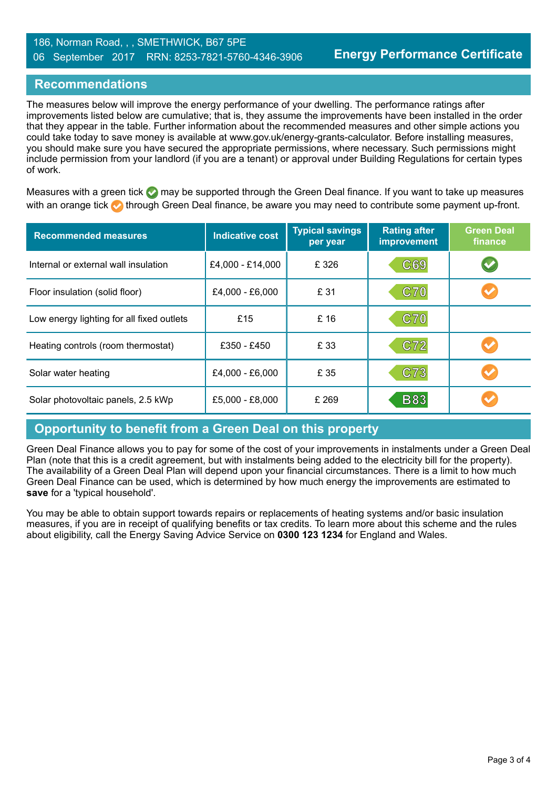#### **Recommendations**

The measures below will improve the energy performance of your dwelling. The performance ratings after improvements listed below are cumulative; that is, they assume the improvements have been installed in the order that they appear in the table. Further information about the recommended measures and other simple actions you could take today to save money is available at www.gov.uk/energy-grants-calculator. Before installing measures, you should make sure you have secured the appropriate permissions, where necessary. Such permissions might include permission from your landlord (if you are a tenant) or approval under Building Regulations for certain types of work.

Measures with a green tick  $\bullet$  may be supported through the Green Deal finance. If you want to take up measures with an orange tick **th** through Green Deal finance, be aware you may need to contribute some payment up-front.

| <b>Recommended measures</b>               | <b>Indicative cost</b> | <b>Typical savings</b><br>per year | <b>Rating after</b><br>improvement | <b>Green Deal</b><br>finance |
|-------------------------------------------|------------------------|------------------------------------|------------------------------------|------------------------------|
| Internal or external wall insulation      | £4,000 - £14,000       | £326                               | C69                                | $\blacktriangledown$         |
| Floor insulation (solid floor)            | £4,000 - £6,000        | £ 31                               | C70                                |                              |
| Low energy lighting for all fixed outlets | £15                    | £ 16                               | <b>C70</b>                         |                              |
| Heating controls (room thermostat)        | £350 - £450            | £ 33                               | C72                                |                              |
| Solar water heating                       | £4,000 - £6,000        | £ 35                               | C73                                |                              |
| Solar photovoltaic panels, 2.5 kWp        | £5,000 - £8,000        | £ 269                              | <b>B83</b>                         |                              |

#### **Opportunity to benefit from a Green Deal on this property**

Green Deal Finance allows you to pay for some of the cost of your improvements in instalments under a Green Deal Plan (note that this is a credit agreement, but with instalments being added to the electricity bill for the property). The availability of a Green Deal Plan will depend upon your financial circumstances. There is a limit to how much Green Deal Finance can be used, which is determined by how much energy the improvements are estimated to **save** for a 'typical household'.

You may be able to obtain support towards repairs or replacements of heating systems and/or basic insulation measures, if you are in receipt of qualifying benefits or tax credits. To learn more about this scheme and the rules about eligibility, call the Energy Saving Advice Service on **0300 123 1234** for England and Wales.